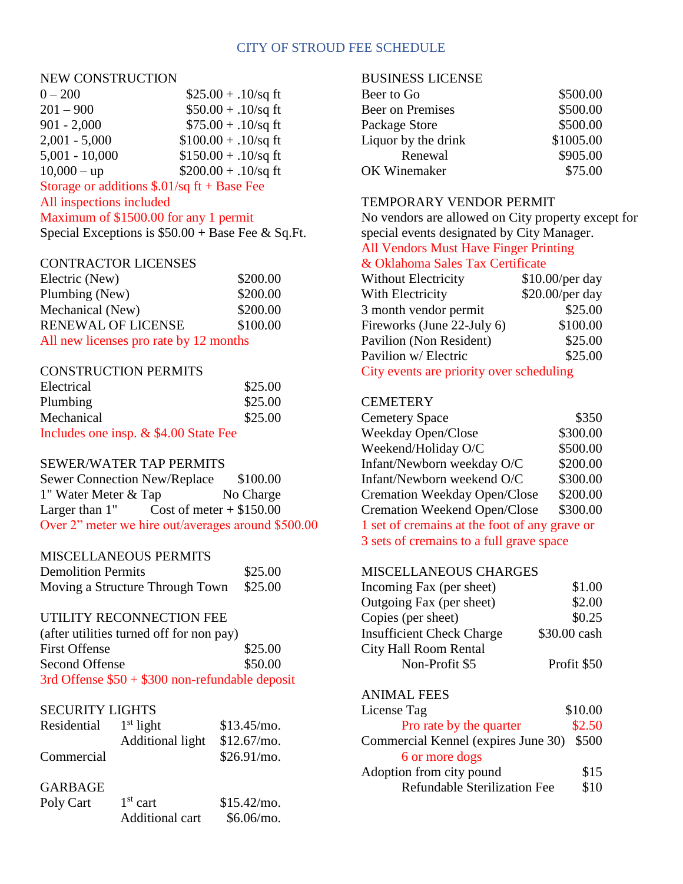### CITY OF STROUD FEE SCHEDULE

#### NEW CONSTRUCTION

| $0 - 200$                                    | $$25.00 + .10$ /sq ft  |
|----------------------------------------------|------------------------|
| $201 - 900$                                  | $$50.00 + .10$ /sq ft  |
| $901 - 2,000$                                | $$75.00 + .10$ /sq ft  |
| $2,001 - 5,000$                              | $$100.00 + .10$ /sq ft |
| $5,001 - 10,000$                             | $$150.00 + .10$ /sq ft |
| $10,000 - up$                                | $$200.00 + .10$ /sq ft |
| Storage or additions $$.01/sq$ ft + Base Fee |                        |
|                                              |                        |

### All inspections included

## Maximum of \$1500.00 for any 1 permit

Special Exceptions is  $$50.00 + Base$  Fee & Sq.Ft.

#### CONTRACTOR LICENSES

| Electric (New)                         | \$200.00 |
|----------------------------------------|----------|
| Plumbing (New)                         | \$200.00 |
| Mechanical (New)                       | \$200.00 |
| <b>RENEWAL OF LICENSE</b>              | \$100.00 |
| All new licenses pro rate by 12 months |          |

### CONSTRUCTION PERMITS

| Electrical                            | \$25.00 |
|---------------------------------------|---------|
| Plumbing                              | \$25.00 |
| Mechanical                            | \$25.00 |
| Includes one insp. & \$4.00 State Fee |         |

#### SEWER/WATER TAP PERMITS

| <b>Sewer Connection New/Replace</b>                |                            | \$100.00  |
|----------------------------------------------------|----------------------------|-----------|
| 1" Water Meter & Tap                               |                            | No Charge |
| Larger than $1$ "                                  | Cost of meter $+$ \$150.00 |           |
| Over 2" meter we hire out/averages around \$500.00 |                            |           |

#### MISCELLANEOUS PERMITS

| <b>Demolition Permits</b>       | \$25.00 |
|---------------------------------|---------|
| Moving a Structure Through Town | \$25.00 |

#### UTILITY RECONNECTION FEE

| (after utilities turned off for non pay)        |         |
|-------------------------------------------------|---------|
| <b>First Offense</b>                            | \$25.00 |
| Second Offense                                  | \$50.00 |
| 3rd Offense $$50 + $300$ non-refundable deposit |         |

### SECURITY LIGHTS

| Residential | $1st$ light      | \$13.45/mo.   |
|-------------|------------------|---------------|
|             | Additional light | $$12.67/m$ o. |
| Commercial  |                  | \$26.91/mo.   |

## GARBAGE

| Poly Cart | $1st$ cart      | \$15.42/mo. |
|-----------|-----------------|-------------|
|           | Additional cart | \$6.06/mo.  |

### BUSINESS LICENSE

| Beer to Go              | \$500.00  |
|-------------------------|-----------|
| <b>Beer on Premises</b> | \$500.00  |
| Package Store           | \$500.00  |
| Liquor by the drink     | \$1005.00 |
| Renewal                 | \$905.00  |
| OK Winemaker            | \$75.00   |

#### TEMPORARY VENDOR PERMIT

No vendors are allowed on City property except for special events designated by City Manager.

# All Vendors Must Have Finger Printing

## & Oklahoma Sales Tax Certificate

| Without Electricity        | \$10.00/per day |
|----------------------------|-----------------|
| With Electricity           | \$20.00/per day |
| 3 month vendor permit      | \$25.00         |
| Fireworks (June 22-July 6) | \$100.00        |
| Pavilion (Non Resident)    | \$25.00         |
| Pavilion w/ Electric       | \$25.00         |
|                            |                 |

City events are priority over scheduling

### **CEMETERY**

| <b>Cemetery Space</b>                         | \$350    |
|-----------------------------------------------|----------|
| Weekday Open/Close                            | \$300.00 |
| Weekend/Holiday O/C                           | \$500.00 |
| Infant/Newborn weekday O/C                    | \$200.00 |
| Infant/Newborn weekend O/C                    | \$300.00 |
| Cremation Weekday Open/Close                  | \$200.00 |
| <b>Cremation Weekend Open/Close</b>           | \$300.00 |
| 1 set of cremains at the foot of any grave or |          |
| 3 sets of cremains to a full grave space      |          |
|                                               |          |

### MISCELLANEOUS CHARGES

| \$1.00       |
|--------------|
| \$2.00       |
| \$0.25       |
| \$30.00 cash |
|              |
| Profit \$50  |
|              |

## ANIMAL FEES

| License Tag                         | \$10.00 |
|-------------------------------------|---------|
| Pro rate by the quarter             | \$2.50  |
| Commercial Kennel (expires June 30) | \$500   |
| 6 or more dogs                      |         |
| Adoption from city pound            | \$15    |
| <b>Refundable Sterilization Fee</b> | \$10    |